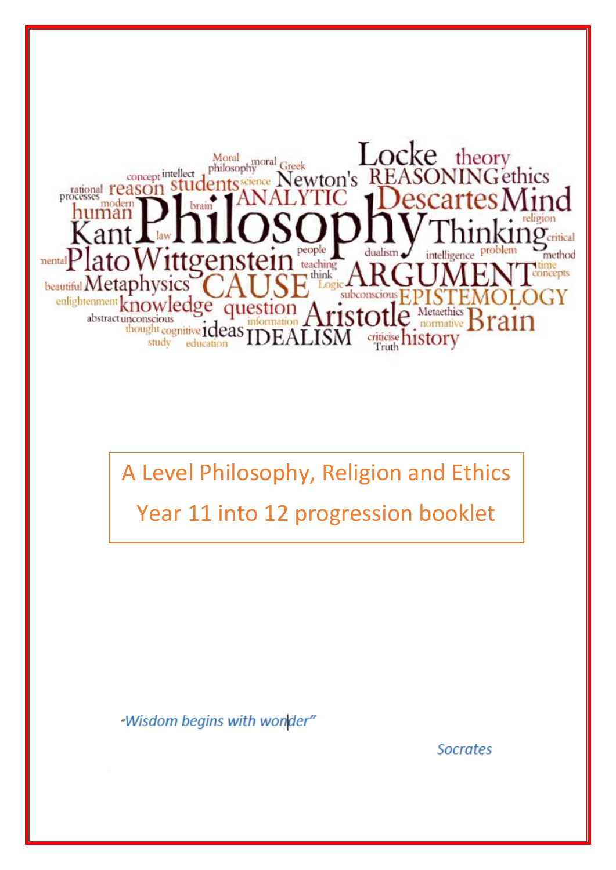

A Level Philosophy, Religion and Ethics Year 11 into 12 progression booklet

"Wisdom begins with wonder"

**Socrates**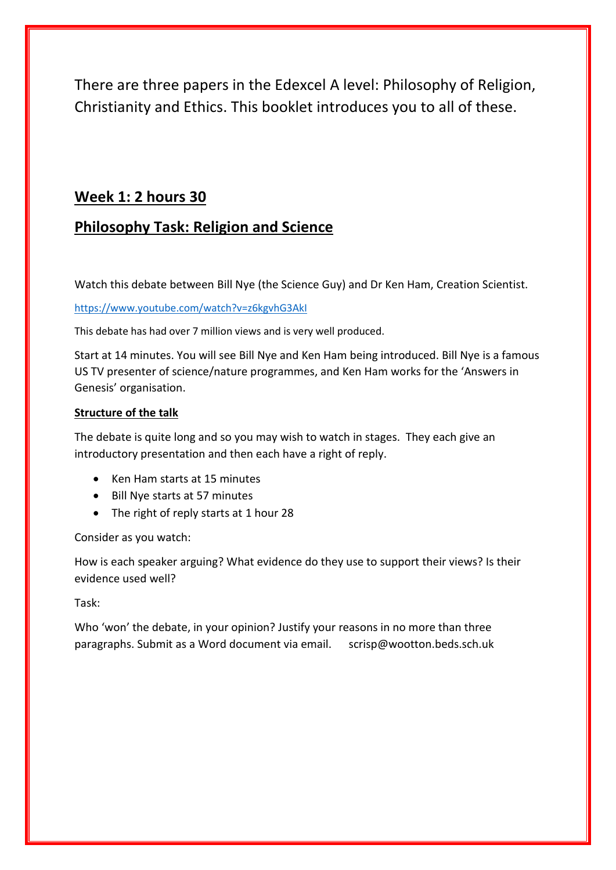There are three papers in the Edexcel A level: Philosophy of Religion, Christianity and Ethics. This booklet introduces you to all of these.

## **Week 1: 2 hours 30**

# **Philosophy Task: Religion and Science**

Watch this debate between Bill Nye (the Science Guy) and Dr Ken Ham, Creation Scientist.

#### <https://www.youtube.com/watch?v=z6kgvhG3AkI>

This debate has had over 7 million views and is very well produced.

Start at 14 minutes. You will see Bill Nye and Ken Ham being introduced. Bill Nye is a famous US TV presenter of science/nature programmes, and Ken Ham works for the 'Answers in Genesis' organisation.

### **Structure of the talk**

The debate is quite long and so you may wish to watch in stages. They each give an introductory presentation and then each have a right of reply.

- Ken Ham starts at 15 minutes
- Bill Nye starts at 57 minutes
- The right of reply starts at 1 hour 28

Consider as you watch:

How is each speaker arguing? What evidence do they use to support their views? Is their evidence used well?

Task:

Who 'won' the debate, in your opinion? Justify your reasons in no more than three paragraphs. Submit as a Word document via email. scrisp@wootton.beds.sch.uk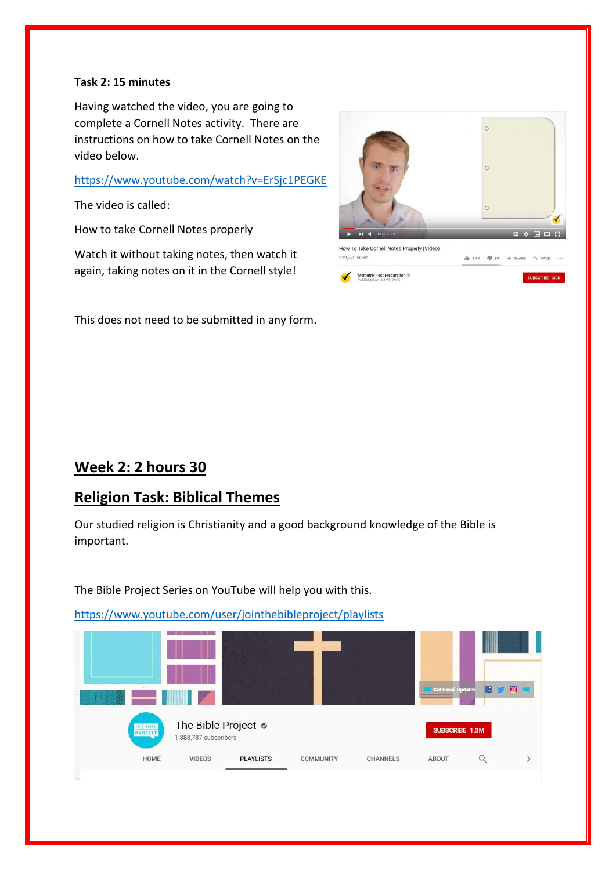#### **Task 2: 15 minutes**

Having watched the video, you are going to complete a Cornell Notes activity. There are instructions on how to take Cornell Notes on the video below.

### <https://www.youtube.com/watch?v=ErSjc1PEGKE>

The video is called:

How to take Cornell Notes properly

Watch it without taking notes, then watch it again, taking notes on it in the Cornell style!

This does not need to be submitted in any form.



# **Week 2: 2 hours 30**

# **Religion Task: Biblical Themes**

Our studied religion is Christianity and a good background knowledge of the Bible is important.

The Bible Project Series on YouTube will help you with this.

<https://www.youtube.com/user/jointhebibleproject/playlists>

|                                                                        |               |                  |                  |                 | <b>Get Email Updates</b> | 麛 | 同 |
|------------------------------------------------------------------------|---------------|------------------|------------------|-----------------|--------------------------|---|---|
| The Bible Project $\bullet$<br><b>EXAMPLE</b><br>1,388,787 subscribers |               |                  |                  |                 | <b>SUBSCRIBE 1.3M</b>    |   |   |
| HOME                                                                   | <b>VIDEOS</b> | <b>PLAYLISTS</b> | <b>COMMUNITY</b> | <b>CHANNELS</b> | <b>ABOUT</b>             |   |   |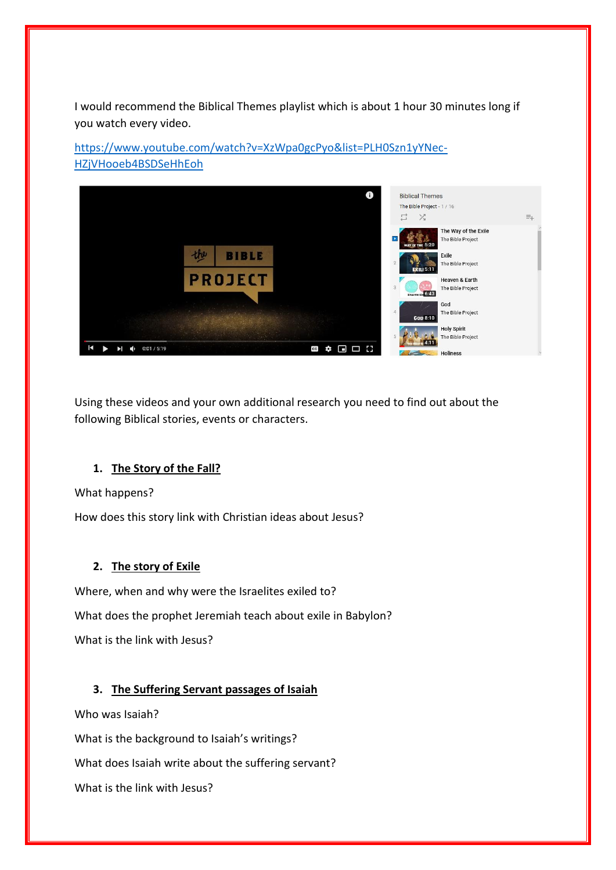I would recommend the Biblical Themes playlist which is about 1 hour 30 minutes long if you watch every video.

[https://www.youtube.com/watch?v=XzWpa0gcPyo&list=PLH0Szn1yYNec-](https://www.youtube.com/watch?v=XzWpa0gcPyo&list=PLH0Szn1yYNec-HZjVHooeb4BSDSeHhEoh)[HZjVHooeb4BSDSeHhEoh](https://www.youtube.com/watch?v=XzWpa0gcPyo&list=PLH0Szn1yYNec-HZjVHooeb4BSDSeHhEoh)



Using these videos and your own additional research you need to find out about the following Biblical stories, events or characters.

## **1. The Story of the Fall?**

What happens?

How does this story link with Christian ideas about Jesus?

## **2. The story of Exile**

Where, when and why were the Israelites exiled to? What does the prophet Jeremiah teach about exile in Babylon? What is the link with Jesus?

## **3. The Suffering Servant passages of Isaiah**

Who was Isaiah?

What is the background to Isaiah's writings?

What does Isaiah write about the suffering servant?

What is the link with Jesus?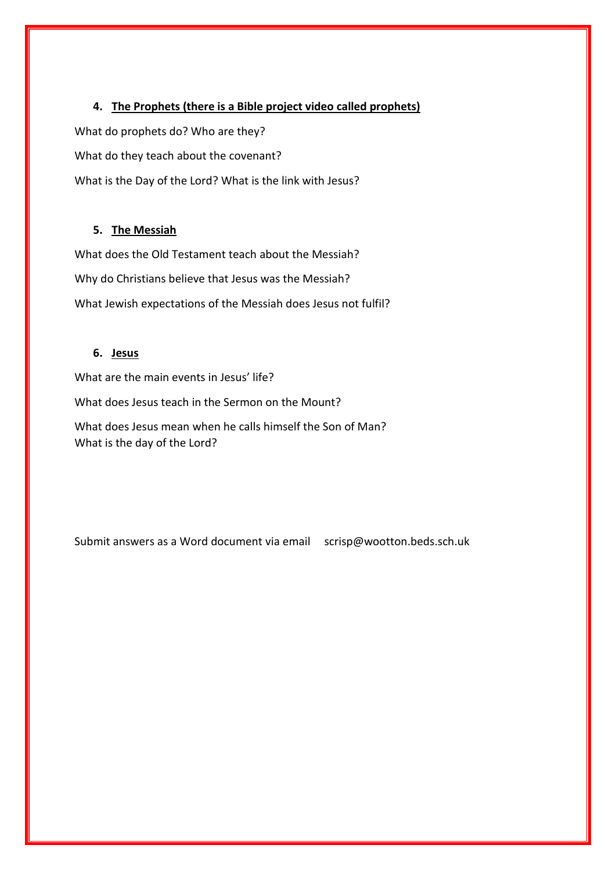**4. The Prophets (there is a Bible project video called prophets)**

What do prophets do? Who are they?

What do they teach about the covenant?

What is the Day of the Lord? What is the link with Jesus?

### **5. The Messiah**

What does the Old Testament teach about the Messiah? Why do Christians believe that Jesus was the Messiah? What Jewish expectations of the Messiah does Jesus not fulfil?

### **6. Jesus**

What are the main events in Jesus' life? What does Jesus teach in the Sermon on the Mount? What does Jesus mean when he calls himself the Son of Man? What is the day of the Lord?

Submit answers as a Word document via email scrisp@wootton.beds.sch.uk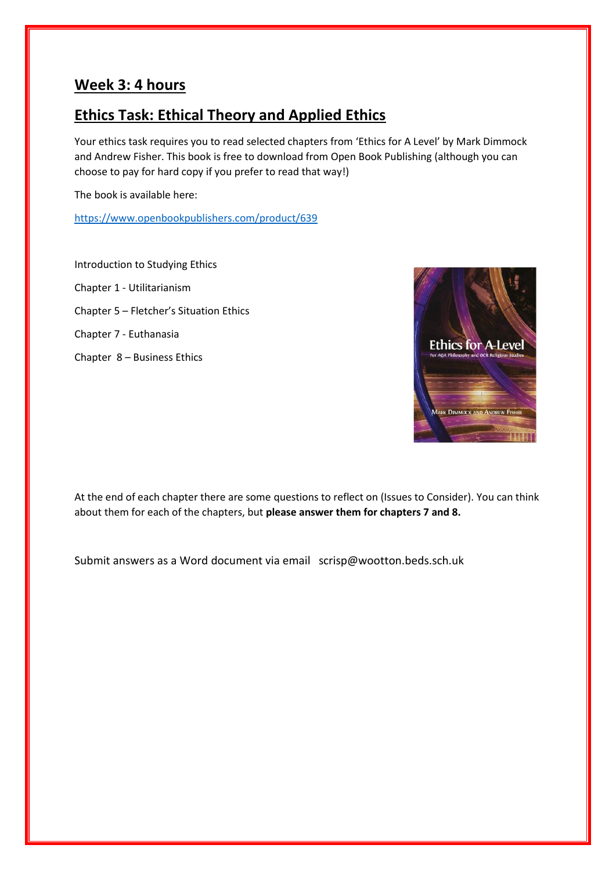## **Week 3: 4 hours**

# **Ethics Task: Ethical Theory and Applied Ethics**

Your ethics task requires you to read selected chapters from 'Ethics for A Level' by Mark Dimmock and Andrew Fisher. This book is free to download from Open Book Publishing (although you can choose to pay for hard copy if you prefer to read that way!)

The book is available here:

<https://www.openbookpublishers.com/product/639>

Introduction to Studying Ethics Chapter 1 - Utilitarianism Chapter 5 – Fletcher's Situation Ethics Chapter 7 - Euthanasia Chapter 8 – Business Ethics



At the end of each chapter there are some questions to reflect on (Issues to Consider). You can think about them for each of the chapters, but **please answer them for chapters 7 and 8.** 

Submit answers as a Word document via email scrisp@wootton.beds.sch.uk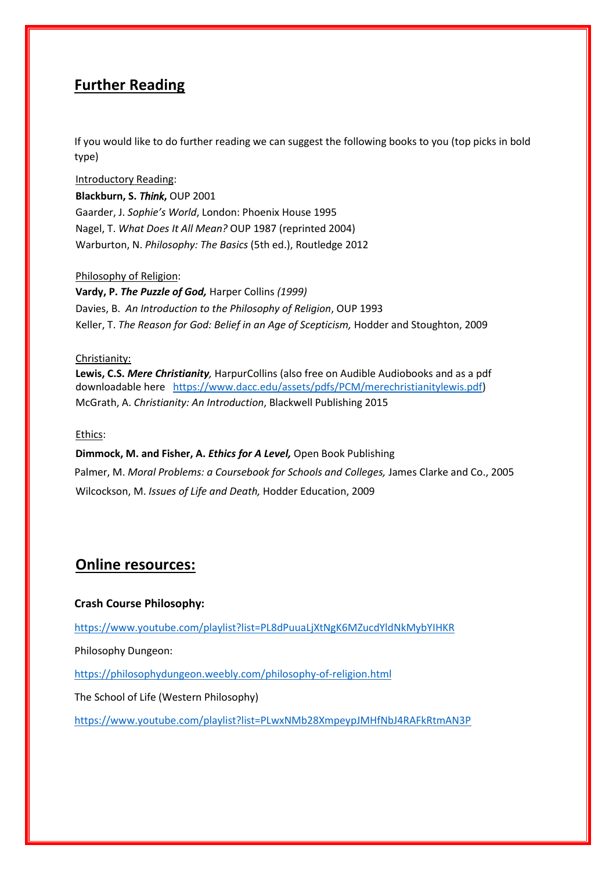# **Further Reading**

If you would like to do further reading we can suggest the following books to you (top picks in bold type)

Introductory Reading: **Blackburn, S.** *Think***,** OUP 2001 Gaarder, J. *Sophie's World*, London: Phoenix House 1995 Nagel, T. *What Does It All Mean?* OUP 1987 (reprinted 2004) Warburton, N. *Philosophy: The Basics* (5th ed.), Routledge 2012

#### Philosophy of Religion:

**Vardy, P.** *The Puzzle of God,* Harper Collins *(1999)* Davies, B. *An Introduction to the Philosophy of Religion*, OUP 1993 Keller, T. *The Reason for God: Belief in an Age of Scepticism,* Hodder and Stoughton, 2009

#### Christianity:

**Lewis, C.S.** *Mere Christianity,* HarpurCollins (also free on Audible Audiobooks and as a pdf downloadable here [https://www.dacc.edu/assets/pdfs/PCM/merechristianitylewis.pdf\)](https://www.dacc.edu/assets/pdfs/PCM/merechristianitylewis.pdf) McGrath, A. *Christianity: An Introduction*, Blackwell Publishing 2015

#### Ethics:

**Dimmock, M. and Fisher, A.** *Ethics for A Level,* Open Book Publishing

Palmer, M. *Moral Problems: a Coursebook for Schools and Colleges,* James Clarke and Co., 2005 Wilcockson, M. *Issues of Life and Death,* Hodder Education, 2009

# **Online resources:**

#### **Crash Course Philosophy:**

<https://www.youtube.com/playlist?list=PL8dPuuaLjXtNgK6MZucdYldNkMybYIHKR>

Philosophy Dungeon:

<https://philosophydungeon.weebly.com/philosophy-of-religion.html>

The School of Life (Western Philosophy)

<https://www.youtube.com/playlist?list=PLwxNMb28XmpeypJMHfNbJ4RAFkRtmAN3P>